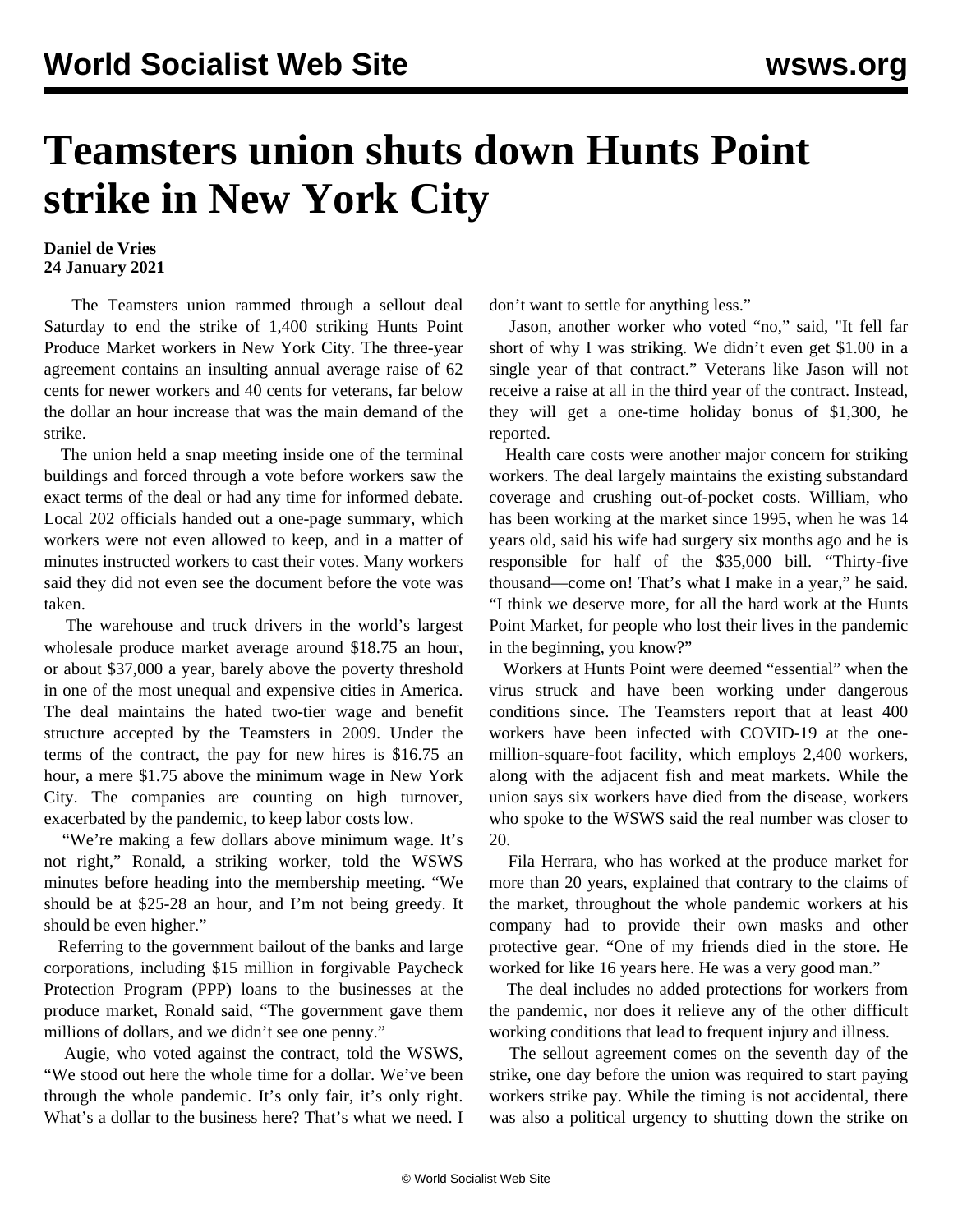## **Teamsters union shuts down Hunts Point strike in New York City**

## **Daniel de Vries 24 January 2021**

 The Teamsters union rammed through a sellout deal Saturday to end the strike of 1,400 striking Hunts Point Produce Market workers in New York City. The three-year agreement contains an insulting annual average raise of 62 cents for newer workers and 40 cents for veterans, far below the dollar an hour increase that was the main demand of the strike.

 The union held a snap meeting inside one of the terminal buildings and forced through a vote before workers saw the exact terms of the deal or had any time for informed debate. Local 202 officials handed out a one-page summary, which workers were not even allowed to keep, and in a matter of minutes instructed workers to cast their votes. Many workers said they did not even see the document before the vote was taken.

 The warehouse and truck drivers in the world's largest wholesale produce market average around \$18.75 an hour, or about \$37,000 a year, barely above the poverty threshold in one of the most unequal and expensive cities in America. The deal maintains the hated two-tier wage and benefit structure accepted by the Teamsters in 2009. Under the terms of the contract, the pay for new hires is \$16.75 an hour, a mere \$1.75 above the minimum wage in New York City. The companies are counting on high turnover, exacerbated by the pandemic, to keep labor costs low.

 "We're making a few dollars above minimum wage. It's not right," Ronald, a striking worker, told the WSWS minutes before heading into the membership meeting. "We should be at \$25-28 an hour, and I'm not being greedy. It should be even higher."

 Referring to the government bailout of the banks and large corporations, including \$15 million in forgivable Paycheck Protection Program (PPP) loans to the businesses at the produce market, Ronald said, "The government gave them millions of dollars, and we didn't see one penny."

 Augie, who voted against the contract, told the WSWS, "We stood out here the whole time for a dollar. We've been through the whole pandemic. It's only fair, it's only right. What's a dollar to the business here? That's what we need. I don't want to settle for anything less."

 Jason, another worker who voted "no," said, "It fell far short of why I was striking. We didn't even get \$1.00 in a single year of that contract." Veterans like Jason will not receive a raise at all in the third year of the contract. Instead, they will get a one-time holiday bonus of \$1,300, he reported.

 Health care costs were another major concern for striking workers. The deal largely maintains the existing substandard coverage and crushing out-of-pocket costs. William, who has been working at the market since 1995, when he was 14 years old, said his wife had surgery six months ago and he is responsible for half of the \$35,000 bill. "Thirty-five thousand—come on! That's what I make in a year," he said. "I think we deserve more, for all the hard work at the Hunts Point Market, for people who lost their lives in the pandemic in the beginning, you know?"

 Workers at Hunts Point were deemed "essential" when the virus struck and have been working under dangerous conditions since. The Teamsters report that at least 400 workers have been infected with COVID-19 at the onemillion-square-foot facility, which employs 2,400 workers, along with the adjacent fish and meat markets. While the union says six workers have died from the disease, workers who spoke to the WSWS said the real number was closer to 20.

 Fila Herrara, who has worked at the produce market for more than 20 years, explained that contrary to the claims of the market, throughout the whole pandemic workers at his company had to provide their own masks and other protective gear. "One of my friends died in the store. He worked for like 16 years here. He was a very good man."

 The deal includes no added protections for workers from the pandemic, nor does it relieve any of the other difficult working conditions that lead to frequent injury and illness.

 The sellout agreement comes on the seventh day of the strike, one day before the union was required to start paying workers strike pay. While the timing is not accidental, there was also a political urgency to shutting down the strike on